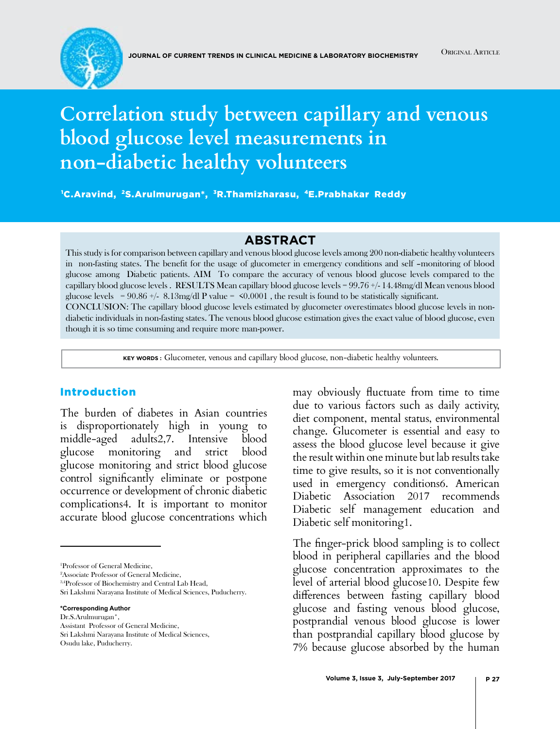# **Correlation study between capillary and venous blood glucose level measurements in non-diabetic healthy volunteers**

1 C.Aravind, 2S.Arulmurugan\*, 3R.Thamizharasu, 4E.Prabhakar Reddy

#### **Abstract**

This study is for comparison between capillary and venous blood glucose levels among 200 non-diabetic healthy volunteers in non-fasting states. The benefit for the usage of glucometer in emergency conditions and self –monitoring of blood glucose among Diabetic patients. AIM To compare the accuracy of venous blood glucose levels compared to the capillary blood glucose levels . RESULTS Mean capillary blood glucose levels = 99.76 +/- 14.48mg/dl Mean venous blood glucose levels =  $90.86$  +/-  $8.13mg/dl$  P value =  $\leq 0.0001$ , the result is found to be statistically significant. CONCLUSION: The capillary blood glucose levels estimated by glucometer overestimates blood glucose levels in nondiabetic individuals in non-fasting states. The venous blood glucose estimation gives the exact value of blood glucose, even though it is so time consuming and require more man-power.

**Key words :** Glucometer, venous and capillary blood glucose, non-diabetic healthy volunteers.

#### Introduction

The burden of diabetes in Asian countries is disproportionately high in young to middle-aged adults2,7. Intensive blood glucose monitoring and strict blood glucose monitoring and strict blood glucose control significantly eliminate or postpone occurrence or development of chronic diabetic complications4. It is important to monitor accurate blood glucose concentrations which

2 Associate Professor of General Medicine,

Sri Lakshmi Narayana Institute of Medical Sciences, Puducherry.

**\*Corresponding Author**

Dr.S.Arulmurugan\*, Assistant Professor of General Medicine,

Sri Lakshmi Narayana Institute of Medical Sciences,

may obviously fluctuate from time to time due to various factors such as daily activity, diet component, mental status, environmental change. Glucometer is essential and easy to assess the blood glucose level because it give the result within one minute but lab results take time to give results, so it is not conventionally used in emergency conditions6. American Diabetic Association 2017 recommends Diabetic self management education and Diabetic self monitoring1.

The finger-prick blood sampling is to collect blood in peripheral capillaries and the blood glucose concentration approximates to the level of arterial blood glucose10. Despite few differences between fasting capillary blood glucose and fasting venous blood glucose, postprandial venous blood glucose is lower than postprandial capillary blood glucose by 7% because glucose absorbed by the human

<sup>1</sup> Professor of General Medicine,

<sup>&</sup>lt;sup>3,4</sup>Professor of Biochemistry and Central Lab Head,

Osudu lake, Puducherry.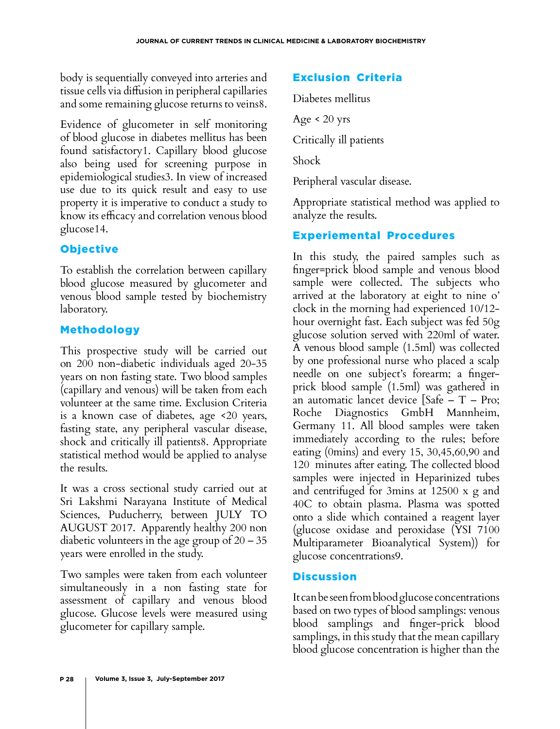body is sequentially conveyed into arteries and tissue cells via diffusion in peripheral capillaries and some remaining glucose returns to veins8.

Evidence of glucometer in self monitoring of blood glucose in diabetes mellitus has been found satisfactory1. Capillary blood glucose also being used for screening purpose in epidemiological studies3. In view of increased use due to its quick result and easy to use property it is imperative to conduct a study to know its efficacy and correlation venous blood glucose14.

## **Objective**

To establish the correlation between capillary blood glucose measured by glucometer and venous blood sample tested by biochemistry laboratory.

## Methodology

This prospective study will be carried out on 200 non-diabetic individuals aged 20-35 years on non fasting state. Two blood samples (capillary and venous) will be taken from each volunteer at the same time. Exclusion Criteria is a known case of diabetes, age <20 years, fasting state, any peripheral vascular disease, shock and critically ill patients8. Appropriate statistical method would be applied to analyse the results.

It was a cross sectional study carried out at Sri Lakshmi Narayana Institute of Medical Sciences, Puducherry, between JULY TO AUGUST 2017. Apparently healthy 200 non diabetic volunteers in the age group of 20 – 35 years were enrolled in the study.

Two samples were taken from each volunteer simultaneously in a non fasting state for assessment of capillary and venous blood glucose. Glucose levels were measured using glucometer for capillary sample.

## Exclusion Criteria

Diabetes mellitus

Age  $< 20$  yrs

Critically ill patients

Shock

Peripheral vascular disease.

Appropriate statistical method was applied to analyze the results.

## Experiemental Procedures

In this study, the paired samples such as finger=prick blood sample and venous blood sample were collected. The subjects who arrived at the laboratory at eight to nine o' clock in the morning had experienced 10/12 hour overnight fast. Each subject was fed 50g glucose solution served with 220ml of water. A venous blood sample (1.5ml) was collected by one professional nurse who placed a scalp needle on one subject's forearm; a fingerprick blood sample (1.5ml) was gathered in an automatic lancet device [Safe – T – Pro; Roche Diagnostics GmbH Mannheim, Germany 11. All blood samples were taken immediately according to the rules; before eating (0mins) and every 15, 30,45,60,90 and 120 minutes after eating. The collected blood samples were injected in Heparinized tubes and centrifuged for 3mins at 12500 x g and 40C to obtain plasma. Plasma was spotted onto a slide which contained a reagent layer (glucose oxidase and peroxidase (YSI 7100 Multiparameter Bioanalytical System)) for glucose concentrations9.

## **Discussion**

It can be seen from blood glucose concentrations based on two types of blood samplings: venous blood samplings and finger-prick blood samplings, in this study that the mean capillary blood glucose concentration is higher than the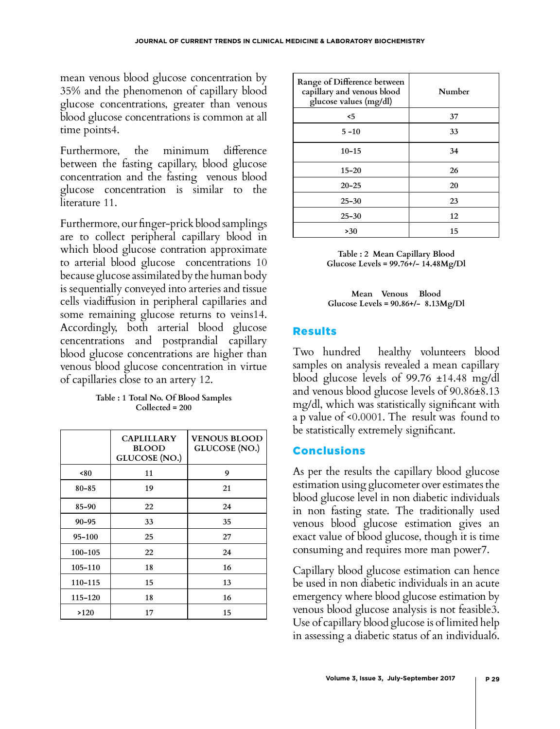mean venous blood glucose concentration by 35% and the phenomenon of capillary blood glucose concentrations, greater than venous blood glucose concentrations is common at all time points4.

Furthermore, the minimum difference between the fasting capillary, blood glucose concentration and the fasting venous blood glucose concentration is similar to the literature 11.

Furthermore, our finger-prick blood samplings are to collect peripheral capillary blood in which blood glucose contration approximate to arterial blood glucose concentrations 10 because glucose assimilated by the human body is sequentially conveyed into arteries and tissue cells viadiffusion in peripheral capillaries and some remaining glucose returns to veins14. Accordingly, both arterial blood glucose cencentrations and postprandial capillary blood glucose concentrations are higher than venous blood glucose concentration in virtue of capillaries close to an artery 12.

| Table : 1 Total No. Of Blood Samples |
|--------------------------------------|
| $Collected = 200$                    |

|             | <b>CAPLILLARY</b><br><b>BLOOD</b><br><b>GLUCOSE</b> (NO.) | <b>VENOUS BLOOD</b><br><b>GLUCOSE</b> (NO.) |
|-------------|-----------------------------------------------------------|---------------------------------------------|
| ~50         | 11                                                        | 9                                           |
| $80 - 85$   | 19                                                        | 21                                          |
| $85 - 90$   | 22                                                        | 24                                          |
| $90 - 95$   | 33                                                        | 35                                          |
| $95 - 100$  | 25                                                        | 27                                          |
| $100 - 105$ | 22                                                        | 24                                          |
| $105 - 110$ | 18                                                        | 16                                          |
| 110-115     | 15                                                        | 13                                          |
| 115-120     | 18                                                        | 16                                          |
| >120        | 17                                                        | 15                                          |

| Range of Difference between<br>capillary and venous blood<br>glucose values (mg/dl) | Number |
|-------------------------------------------------------------------------------------|--------|
| $\leq 5$                                                                            | 37     |
| $5 - 10$                                                                            | 33     |
| $10 - 15$                                                                           | 34     |
| $15 - 20$                                                                           | 26     |
| $20 - 25$                                                                           | 20     |
| $25 - 30$                                                                           | 23     |
| $25 - 30$                                                                           | 12     |
| >30                                                                                 | 15     |

**Table : 2 Mean Capillary Blood Glucose Levels = 99.76+/- 14.48Mg/Dl**

**Mean Venous Blood Glucose Levels = 90.86+/- 8.13Mg/Dl**

#### Results

Two hundred healthy volunteers blood samples on analysis revealed a mean capillary blood glucose levels of 99.76 ±14.48 mg/dl and venous blood glucose levels of 90.86±8.13 mg/dl, which was statistically significant with a p value of <0.0001. The result was found to be statistically extremely significant.

#### Conclusions

As per the results the capillary blood glucose estimation using glucometer over estimates the blood glucose level in non diabetic individuals in non fasting state. The traditionally used venous blood glucose estimation gives an exact value of blood glucose, though it is time consuming and requires more man power7.

Capillary blood glucose estimation can hence be used in non diabetic individuals in an acute emergency where blood glucose estimation by venous blood glucose analysis is not feasible3. Use of capillary blood glucose is of limited help in assessing a diabetic status of an individual6.